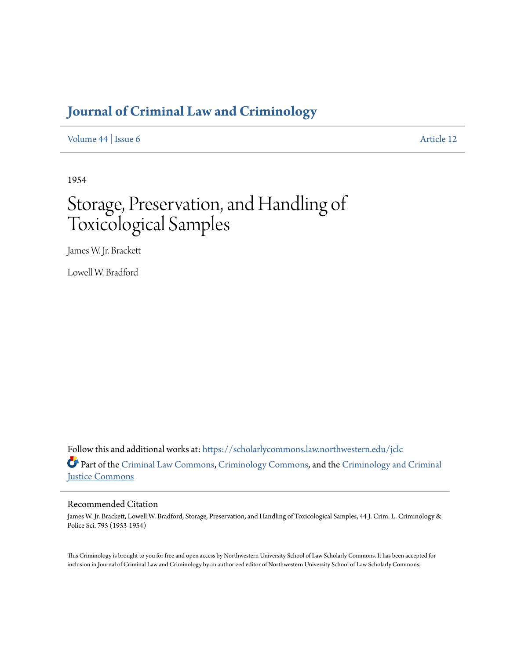# **[Journal of Criminal Law and Criminology](https://scholarlycommons.law.northwestern.edu/jclc?utm_source=scholarlycommons.law.northwestern.edu%2Fjclc%2Fvol44%2Fiss6%2F12&utm_medium=PDF&utm_campaign=PDFCoverPages)**

[Volume 44](https://scholarlycommons.law.northwestern.edu/jclc/vol44?utm_source=scholarlycommons.law.northwestern.edu%2Fjclc%2Fvol44%2Fiss6%2F12&utm_medium=PDF&utm_campaign=PDFCoverPages) | [Issue 6](https://scholarlycommons.law.northwestern.edu/jclc/vol44/iss6?utm_source=scholarlycommons.law.northwestern.edu%2Fjclc%2Fvol44%2Fiss6%2F12&utm_medium=PDF&utm_campaign=PDFCoverPages) [Article 12](https://scholarlycommons.law.northwestern.edu/jclc/vol44/iss6/12?utm_source=scholarlycommons.law.northwestern.edu%2Fjclc%2Fvol44%2Fiss6%2F12&utm_medium=PDF&utm_campaign=PDFCoverPages)

1954

# Storage, Preservation, and Handling of Toxicological Samples

James W. Jr. Brackett

Lowell W. Bradford

Follow this and additional works at: [https://scholarlycommons.law.northwestern.edu/jclc](https://scholarlycommons.law.northwestern.edu/jclc?utm_source=scholarlycommons.law.northwestern.edu%2Fjclc%2Fvol44%2Fiss6%2F12&utm_medium=PDF&utm_campaign=PDFCoverPages) Part of the [Criminal Law Commons](http://network.bepress.com/hgg/discipline/912?utm_source=scholarlycommons.law.northwestern.edu%2Fjclc%2Fvol44%2Fiss6%2F12&utm_medium=PDF&utm_campaign=PDFCoverPages), [Criminology Commons](http://network.bepress.com/hgg/discipline/417?utm_source=scholarlycommons.law.northwestern.edu%2Fjclc%2Fvol44%2Fiss6%2F12&utm_medium=PDF&utm_campaign=PDFCoverPages), and the [Criminology and Criminal](http://network.bepress.com/hgg/discipline/367?utm_source=scholarlycommons.law.northwestern.edu%2Fjclc%2Fvol44%2Fiss6%2F12&utm_medium=PDF&utm_campaign=PDFCoverPages) [Justice Commons](http://network.bepress.com/hgg/discipline/367?utm_source=scholarlycommons.law.northwestern.edu%2Fjclc%2Fvol44%2Fiss6%2F12&utm_medium=PDF&utm_campaign=PDFCoverPages)

## Recommended Citation

James W. Jr. Brackett, Lowell W. Bradford, Storage, Preservation, and Handling of Toxicological Samples, 44 J. Crim. L. Criminology & Police Sci. 795 (1953-1954)

This Criminology is brought to you for free and open access by Northwestern University School of Law Scholarly Commons. It has been accepted for inclusion in Journal of Criminal Law and Criminology by an authorized editor of Northwestern University School of Law Scholarly Commons.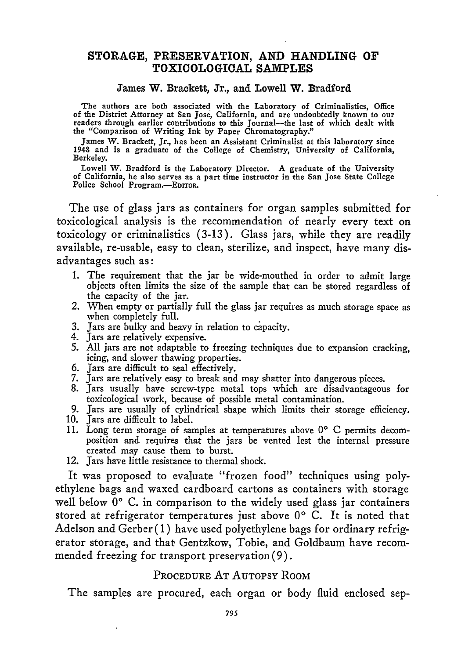#### STORAGE, PRESERVATION, **AND** HANDLING OF TOXICOLOGICAL **SAMPLES**

#### James W. Brackett, Jr., and Lowell W. Bradford

The authors are both associated with the Laboratory of Criminalistics, Office of the District Attorney at San Jose, California, and are undoubtedly known to our readers through earlier contributions *to* this Journal-the last of which dealt with the "Comparison of Writing Ink **by** Paper Chromatography."

James W. Brackett, Jr., has been an Assistant Criminalist at this laboratory since 1948 and is a graduate of the College of Chemistry, University of California, Berkeley.

Lowell W. Bradford is the Laboratory Director. A graduate of the University of California, he also serves as a part time instructor in the San Jose State College Police School Program.-EDITOR.

The use of glass jars as containers for organ samples submitted for toxicological analysis is the recommendation of nearly every text on toxicology or criminalistics **(3-13).** Glass jars, while they are readily available, re-usable, easy to clean, sterilize, and inspect, have many disadvantages such as:

- **1.** The requirement that the jar be wide-mouthed in order to admit large objects often limits the size of the sample that can be stored regardless of the capacity of the jar.
- 2. When empty or partially full the glass jar requires as much storage space as when completely full.
- **3.** Jars are bulky and heavy in relation to cipacity.
- 4. Jars are relatively expensive.
- **5. All** jars are not adaptable to freezing techniques due to expansion cracking, icing, and slower thawing properties.
- **6.** jars are difficult to seal effectively.
- **7.** Jars are relatively easy to break and may shatter into dangerous pieces. **8.** Jars usually have screw-type metal tops which are disadvantageous for
- toxicological work, because of possible metal contamination.
- **9.** Jars are usually of cylindrical shape which limits their storage efficiency.
- **10.** Jars are difficult to label.
- **11.** Long term storage of samples at temperatures above **00 C** permits decomposition and requires that the jars be vented lest the internal pressure created may cause them to burst.
- 12. Jars have little resistance to thermal shock.

It was proposed to evaluate "frozen food" techniques using polyethylene bags and waxed cardboard cartons as containers with storage well below 0<sup>°</sup> C. in comparison to the widely used glass jar containers stored at refrigerator temperatures just above **00 C.** It is noted that Adelson and Gerber ( **1)** have used polyethylene bags for ordinary refrigerator storage, and that Gentzkow, Tobie, and Goldbaum have recommended freezing for transport preservation **(9).**

# PROCEDURE AT AUTOPSY ROOM

The samples are procured, each organ or body fluid enclosed sep-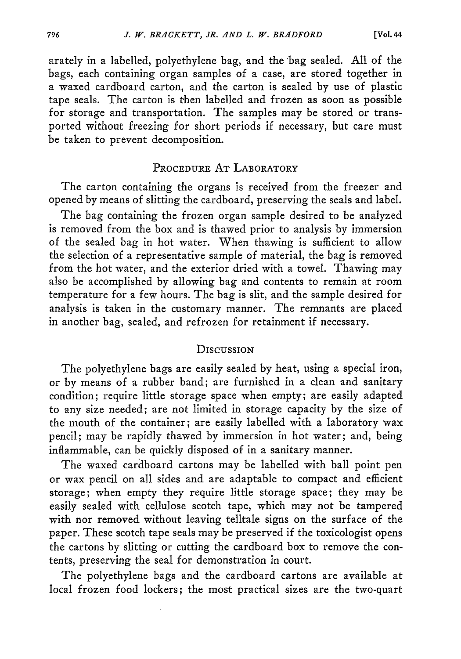arately in a labelled, polyethylene bag, and the bag sealed. All of the bags, each containing organ samples of a case, are stored together in a waxed cardboard carton, and the carton is sealed by use of plastic tape seals. The carton is then labelled and frozen as soon as possible for storage and transportation. The samples may be stored or transported without freezing for short periods if necessary, but care must be taken to prevent decomposition.

#### PROCEDURE AT LABORATORY

The carton containing the organs is received from the freezer and opened by means of slitting the cardboard, preserving the seals and label.

The bag containing the frozen organ sample desired to be analyzed is removed from the box and is thawed prior to analysis by immersion of the sealed bag in hot water. When thawing is sufficient to allow the selection of a representative sample of material, the bag is removed from the hot water, and the exterior dried with a towel. Thawing may also be accomplished by allowing bag and contents to remain at room temperature for a few hours. The bag is slit, and the sample desired for analysis is taken in the customary manner. The remnants are placed in another bag, sealed, and refrozen for retainment if necessary.

#### **DISCUSSION**

The polyethylene bags are easily sealed by heat, using a special iron, or by means of a rubber band; are furnished in a clean and sanitary condition; require little storage space when empty; are easily adapted to any size needed; are not limited in storage capacity by the size of the mouth of the container; are easily labelled with a laboratory wax pencil; may be rapidly thawed by immersion in hot water; and, being inflammable, can be quickly disposed of in a sanitary manner.

The waxed cardboard cartons may be labelled with ball point pen or wax pencil on all sides and are adaptable to compact and efficient storage; when empty they require little storage space; they may be easily sealed with cellulose scotch tape, which may not be tampered with nor removed without leaving telltale signs on the surface of the paper. These scotch tape seals may be preserved if the toxicologist opens the cartons by slitting or cutting the cardboard box to remove the contents, preserving the seal for demonstration in court.

The polyethylene bags and the cardboard cartons are available at local frozen food lockers; the most practical sizes are the two-quart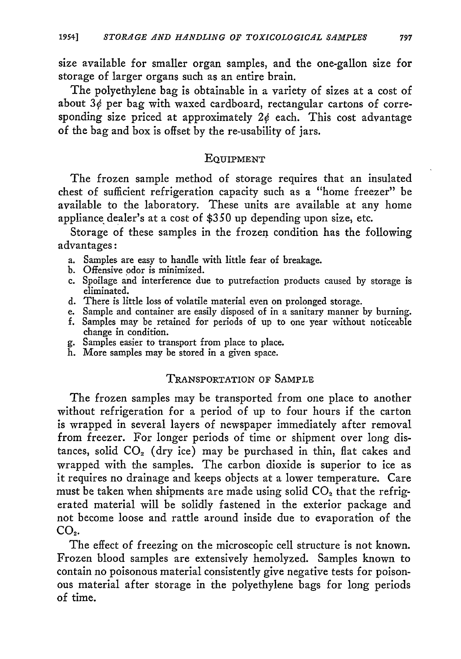size available for smaller organ samples, and the one-gallon size for storage of larger organs such as an entire brain.

The polyethylene bag is obtainable in a variety of sizes at a cost of about  $3\phi$  per bag with waxed cardboard, rectangular cartons of corresponding size priced at approximately  $2\phi$  each. This cost advantage of the bag and box is offset **by** the re-usability of jars.

#### **EQUIPMENT**

The frozen sample method of storage requires that an insulated chest of sufficient refrigeration capacity such as a "home freezer" be available to the laboratory. These units are available at any home appliance dealer's at a cost of \$350 up depending upon size, etc.

Storage of these samples in the frozen condition has the following advantages:

- a. Samples are easy to handle with little fear of breakage.
- b. Offensive odor is minimized.
- c. Spoilage and interference due to putrefaction products caused by storage is eliminated.
- d. There is little loss of volatile material even on prolonged storage.
- e. Sample and container are easily disposed of in a sanitary manner by burning. f. Samples may be retained for periods of up to one year without noticeable change in condition.
- g. Samples easier to transport from place to place.
- h. More samples may be stored in a given space.

## TRANSPORTATION OF SAMPLE

The frozen samples may be transported from one place to another without refrigeration for a period of up to four hours if the carton is wrapped in several layers of newspaper immediately after removal from freezer. For longer periods of time or shipment over long distances, solid CO<sub>2</sub> (dry ice) may be purchased in thin, flat cakes and wrapped with the samples. The carbon dioxide is superior to ice as it requires no drainage and keeps objects at a lower temperature. Care must be taken when shipments are made using solid  $CO<sub>2</sub>$  that the refrigerated material will be solidly fastened in the exterior package and not become loose and rattle around inside due to evaporation of the  $CO<sub>2</sub>$ .

The effect of freezing on the microscopic cell structure is not known. Frozen blood samples are extensively hemolyzed. Samples known to contain no poisonous material consistently give negative tests for poisonous material after storage in the polyethylene bags for long periods of time.